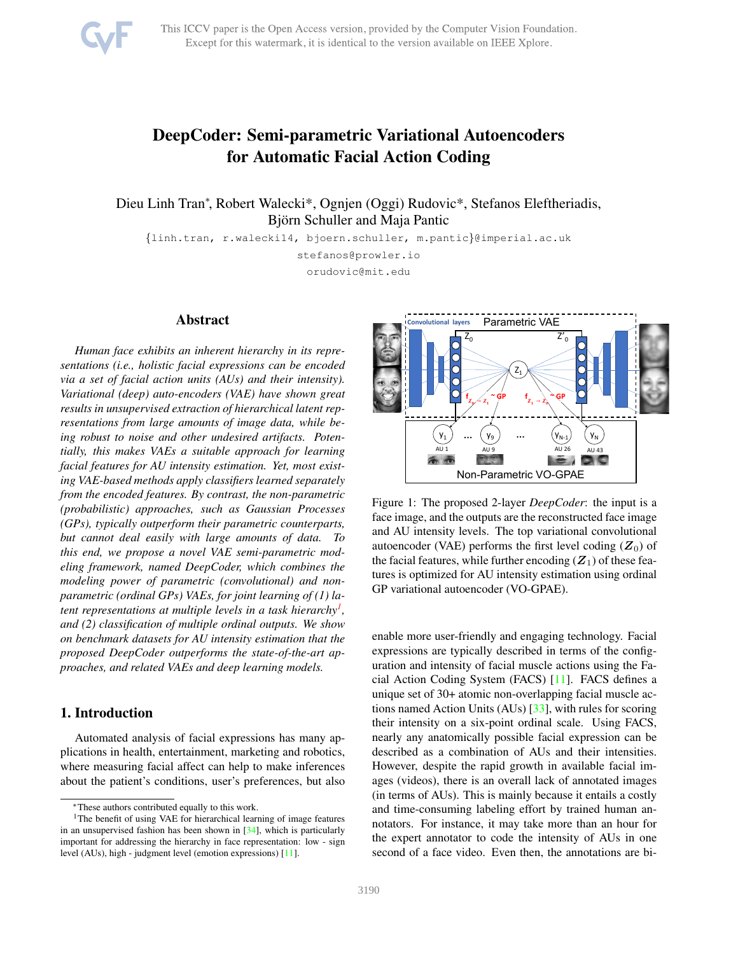<span id="page-0-2"></span>

# DeepCoder: Semi-parametric Variational Autoencoders for Automatic Facial Action Coding

Dieu Linh Tran<sup>∗</sup> , Robert Walecki\*, Ognjen (Oggi) Rudovic\*, Stefanos Eleftheriadis, Björn Schuller and Maja Pantic

{linh.tran, r.walecki14, bjoern.schuller, m.pantic}@imperial.ac.uk

stefanos@prowler.io orudovic@mit.edu

# Abstract

*Human face exhibits an inherent hierarchy in its representations (i.e., holistic facial expressions can be encoded via a set of facial action units (AUs) and their intensity). Variational (deep) auto-encoders (VAE) have shown great results in unsupervised extraction of hierarchical latent representations from large amounts of image data, while being robust to noise and other undesired artifacts. Potentially, this makes VAEs a suitable approach for learning facial features for AU intensity estimation. Yet, most existing VAE-based methods apply classifiers learned separately from the encoded features. By contrast, the non-parametric (probabilistic) approaches, such as Gaussian Processes (GPs), typically outperform their parametric counterparts, but cannot deal easily with large amounts of data. To this end, we propose a novel VAE semi-parametric modeling framework, named DeepCoder, which combines the modeling power of parametric (convolutional) and nonparametric (ordinal GPs) VAEs, for joint learning of (1) latent representations at multiple levels in a task hierarchy[1](#page-0-0) , and (2) classification of multiple ordinal outputs. We show on benchmark datasets for AU intensity estimation that the proposed DeepCoder outperforms the state-of-the-art approaches, and related VAEs and deep learning models.*

# 1. Introduction

Automated analysis of facial expressions has many applications in health, entertainment, marketing and robotics, where measuring facial affect can help to make inferences about the patient's conditions, user's preferences, but also

<span id="page-0-1"></span>

Figure 1: The proposed 2-layer *DeepCoder*: the input is a face image, and the outputs are the reconstructed face image and AU intensity levels. The top variational convolutional autoencoder (VAE) performs the first level coding  $(Z_0)$  of the facial features, while further encoding  $(Z_1)$  of these features is optimized for AU intensity estimation using ordinal GP variational autoencoder (VO-GPAE).

enable more user-friendly and engaging technology. Facial expressions are typically described in terms of the configuration and intensity of facial muscle actions using the Facial Action Coding System (FACS) [\[11\]](#page-8-1). FACS defines a unique set of 30+ atomic non-overlapping facial muscle actions named Action Units (AUs) [\[33\]](#page-8-2), with rules for scoring their intensity on a six-point ordinal scale. Using FACS, nearly any anatomically possible facial expression can be described as a combination of AUs and their intensities. However, despite the rapid growth in available facial images (videos), there is an overall lack of annotated images (in terms of AUs). This is mainly because it entails a costly and time-consuming labeling effort by trained human annotators. For instance, it may take more than an hour for the expert annotator to code the intensity of AUs in one second of a face video. Even then, the annotations are bi-

<span id="page-0-0"></span><sup>∗</sup>These authors contributed equally to this work.

<sup>&</sup>lt;sup>1</sup>The benefit of using VAE for hierarchical learning of image features in an unsupervised fashion has been shown in  $[34]$ , which is particularly important for addressing the hierarchy in face representation: low - sign level (AUs), high - judgment level (emotion expressions) [\[11\]](#page-8-1).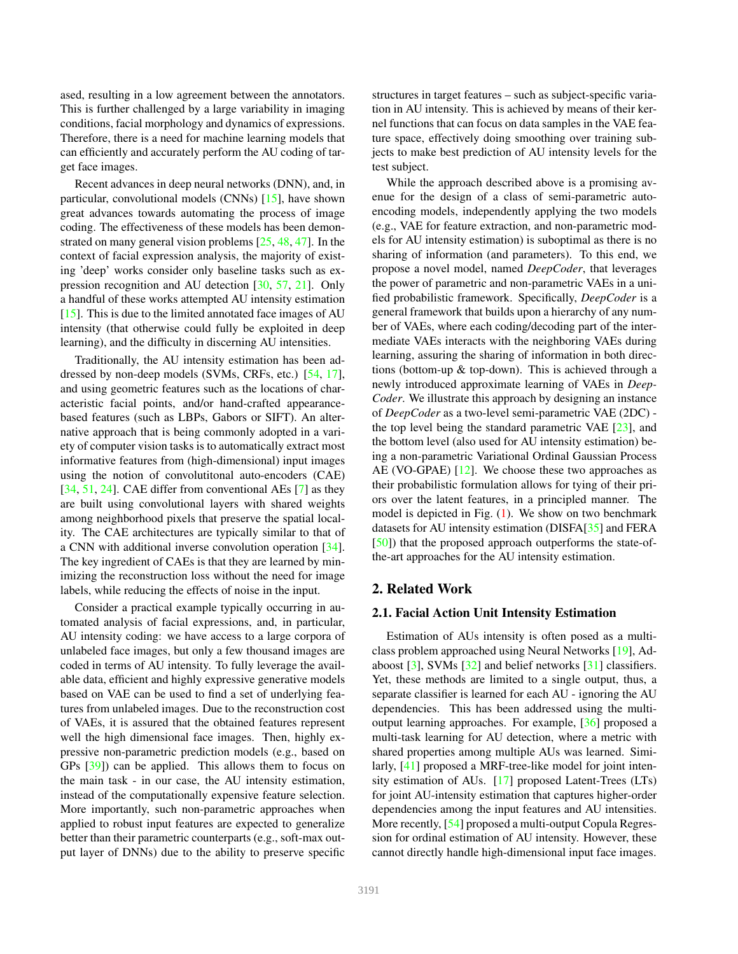<span id="page-1-0"></span>ased, resulting in a low agreement between the annotators. This is further challenged by a large variability in imaging conditions, facial morphology and dynamics of expressions. Therefore, there is a need for machine learning models that can efficiently and accurately perform the AU coding of target face images.

Recent advances in deep neural networks (DNN), and, in particular, convolutional models (CNNs) [\[15\]](#page-8-3), have shown great advances towards automating the process of image coding. The effectiveness of these models has been demonstrated on many general vision problems [\[25,](#page-8-4) [48,](#page-9-0) [47\]](#page-9-1). In the context of facial expression analysis, the majority of existing 'deep' works consider only baseline tasks such as expression recognition and AU detection [\[30,](#page-8-5) [57,](#page-9-2) [21\]](#page-8-6). Only a handful of these works attempted AU intensity estimation  $[15]$ . This is due to the limited annotated face images of AU intensity (that otherwise could fully be exploited in deep learning), and the difficulty in discerning AU intensities.

Traditionally, the AU intensity estimation has been addressed by non-deep models (SVMs, CRFs, etc.) [\[54,](#page-9-3) [17\]](#page-8-7), and using geometric features such as the locations of characteristic facial points, and/or hand-crafted appearancebased features (such as LBPs, Gabors or SIFT). An alternative approach that is being commonly adopted in a variety of computer vision tasks is to automatically extract most informative features from (high-dimensional) input images using the notion of convolutitonal auto-encoders (CAE) [\[34,](#page-8-0) [51,](#page-9-4) [24\]](#page-8-8). CAE differ from conventional AEs [\[7\]](#page-8-9) as they are built using convolutional layers with shared weights among neighborhood pixels that preserve the spatial locality. The CAE architectures are typically similar to that of a CNN with additional inverse convolution operation [\[34\]](#page-8-0). The key ingredient of CAEs is that they are learned by minimizing the reconstruction loss without the need for image labels, while reducing the effects of noise in the input.

Consider a practical example typically occurring in automated analysis of facial expressions, and, in particular, AU intensity coding: we have access to a large corpora of unlabeled face images, but only a few thousand images are coded in terms of AU intensity. To fully leverage the available data, efficient and highly expressive generative models based on VAE can be used to find a set of underlying features from unlabeled images. Due to the reconstruction cost of VAEs, it is assured that the obtained features represent well the high dimensional face images. Then, highly expressive non-parametric prediction models (e.g., based on GPs [\[39\]](#page-8-10)) can be applied. This allows them to focus on the main task - in our case, the AU intensity estimation, instead of the computationally expensive feature selection. More importantly, such non-parametric approaches when applied to robust input features are expected to generalize better than their parametric counterparts (e.g., soft-max output layer of DNNs) due to the ability to preserve specific

structures in target features – such as subject-specific variation in AU intensity. This is achieved by means of their kernel functions that can focus on data samples in the VAE feature space, effectively doing smoothing over training subjects to make best prediction of AU intensity levels for the test subject.

While the approach described above is a promising avenue for the design of a class of semi-parametric autoencoding models, independently applying the two models (e.g., VAE for feature extraction, and non-parametric models for AU intensity estimation) is suboptimal as there is no sharing of information (and parameters). To this end, we propose a novel model, named *DeepCoder*, that leverages the power of parametric and non-parametric VAEs in a unified probabilistic framework. Specifically, *DeepCoder* is a general framework that builds upon a hierarchy of any number of VAEs, where each coding/decoding part of the intermediate VAEs interacts with the neighboring VAEs during learning, assuring the sharing of information in both directions (bottom-up & top-down). This is achieved through a newly introduced approximate learning of VAEs in *Deep-Coder*. We illustrate this approach by designing an instance of *DeepCoder* as a two-level semi-parametric VAE (2DC) the top level being the standard parametric VAE [\[23\]](#page-8-11), and the bottom level (also used for AU intensity estimation) being a non-parametric Variational Ordinal Gaussian Process AE (VO-GPAE) [\[12\]](#page-8-12). We choose these two approaches as their probabilistic formulation allows for tying of their priors over the latent features, in a principled manner. The model is depicted in Fig.  $(1)$ . We show on two benchmark datasets for AU intensity estimation (DISFA[\[35\]](#page-8-13) and FERA [\[50\]](#page-9-5)) that the proposed approach outperforms the state-ofthe-art approaches for the AU intensity estimation.

# 2. Related Work

### 2.1. Facial Action Unit Intensity Estimation

Estimation of AUs intensity is often posed as a multiclass problem approached using Neural Networks [\[19\]](#page-8-14), Adaboost  $[3]$ , SVMs  $[32]$  and belief networks  $[31]$  classifiers. Yet, these methods are limited to a single output, thus, a separate classifier is learned for each AU - ignoring the AU dependencies. This has been addressed using the multioutput learning approaches. For example, [\[36\]](#page-8-18) proposed a multi-task learning for AU detection, where a metric with shared properties among multiple AUs was learned. Similarly, [\[41\]](#page-9-6) proposed a MRF-tree-like model for joint intensity estimation of AUs. [\[17\]](#page-8-7) proposed Latent-Trees (LTs) for joint AU-intensity estimation that captures higher-order dependencies among the input features and AU intensities. More recently, [\[54\]](#page-9-3) proposed a multi-output Copula Regression for ordinal estimation of AU intensity. However, these cannot directly handle high-dimensional input face images.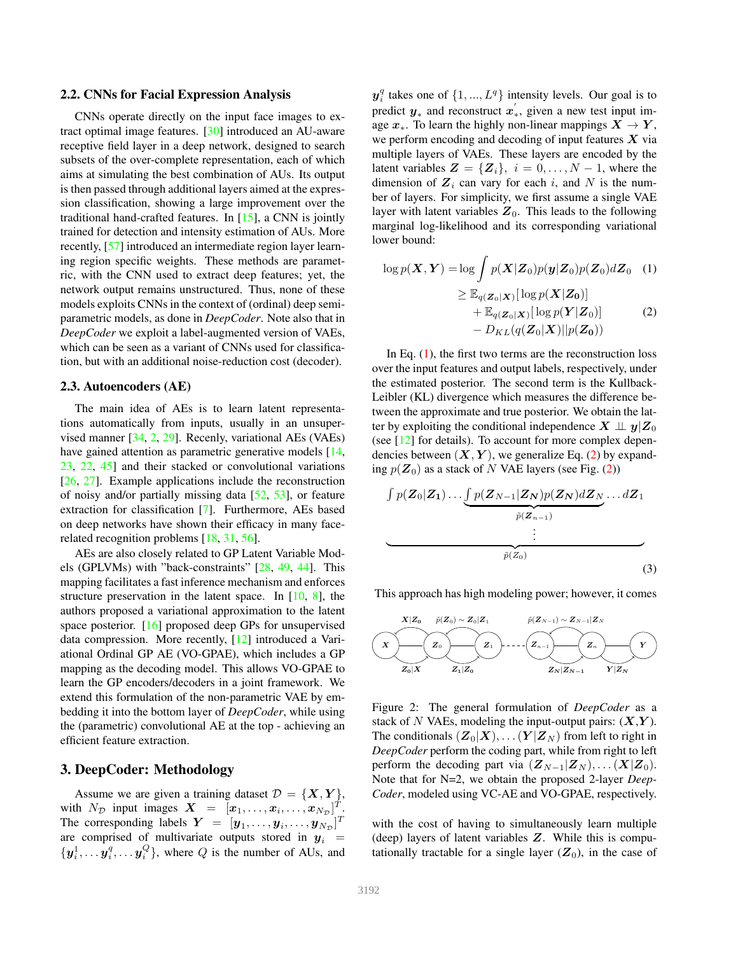#### <span id="page-2-3"></span>2.2. CNNs for Facial Expression Analysis

CNNs operate directly on the input face images to extract optimal image features. [\[30\]](#page-8-5) introduced an AU-aware receptive field layer in a deep network, designed to search subsets of the over-complete representation, each of which aims at simulating the best combination of AUs. Its output is then passed through additional layers aimed at the expression classification, showing a large improvement over the traditional hand-crafted features. In [\[15\]](#page-8-3), a CNN is jointly trained for detection and intensity estimation of AUs. More recently, [\[57\]](#page-9-2) introduced an intermediate region layer learning region specific weights. These methods are parametric, with the CNN used to extract deep features; yet, the network output remains unstructured. Thus, none of these models exploits CNNs in the context of (ordinal) deep semiparametric models, as done in *DeepCoder*. Note also that in *DeepCoder* we exploit a label-augmented version of VAEs, which can be seen as a variant of CNNs used for classification, but with an additional noise-reduction cost (decoder).

#### 2.3. Autoencoders (AE)

The main idea of AEs is to learn latent representations automatically from inputs, usually in an unsupervised manner [\[34,](#page-8-0) [2,](#page-8-19) [29\]](#page-8-20). Recenly, variational AEs (VAEs) have gained attention as parametric generative models [\[14,](#page-8-21) [23,](#page-8-11) [22,](#page-8-22) [45\]](#page-9-7) and their stacked or convolutional variations [\[26,](#page-8-23) [27\]](#page-8-24). Example applications include the reconstruction of noisy and/or partially missing data [\[52,](#page-9-8) [53\]](#page-9-9), or feature extraction for classification [\[7\]](#page-8-9). Furthermore, AEs based on deep networks have shown their efficacy in many facerelated recognition problems [\[18,](#page-8-25) [31,](#page-8-17) [56\]](#page-9-10).

AEs are also closely related to GP Latent Variable Models (GPLVMs) with "back-constraints" [\[28,](#page-8-26) [49,](#page-9-11) [44\]](#page-9-12). This mapping facilitates a fast inference mechanism and enforces structure preservation in the latent space. In [\[10,](#page-8-27) [8\]](#page-8-28), the authors proposed a variational approximation to the latent space posterior. [\[16\]](#page-8-29) proposed deep GPs for unsupervised data compression. More recently, [\[12\]](#page-8-12) introduced a Variational Ordinal GP AE (VO-GPAE), which includes a GP mapping as the decoding model. This allows VO-GPAE to learn the GP encoders/decoders in a joint framework. We extend this formulation of the non-parametric VAE by embedding it into the bottom layer of *DeepCoder*, while using the (parametric) convolutional AE at the top - achieving an efficient feature extraction.

# 3. DeepCoder: Methodology

Assume we are given a training dataset  $\mathcal{D} = \{X, Y\},\$ with  $N_{\mathcal{D}}$  input images  $\boldsymbol{X} = [x_1, \dots, x_i, \dots, x_{N_{\mathcal{D}}}]^T$ . The corresponding labels  $\boldsymbol{Y} = [\boldsymbol{y}_1, \dots, \boldsymbol{y}_i, \dots, \boldsymbol{y}_{N_{\mathcal{D}}}]^T$ are comprised of multivariate outputs stored in  $y_i$  =  $\{y_i^1, \ldots, y_i^q, \ldots, y_i^Q\}$ , where Q is the number of AUs, and

 $y_i^q$  takes one of  $\{1, ..., L^q\}$  intensity levels. Our goal is to predict  $y_*$  and reconstruct  $x'$ , ∗ , given a new test input image  $x_*$ . To learn the highly non-linear mappings  $X \to Y$ , we perform encoding and decoding of input features  $X$  via multiple layers of VAEs. These layers are encoded by the latent variables  $\mathbf{Z} = {\mathbf{Z}_i}$ ,  $i = 0, \dots, N - 1$ , where the dimension of  $Z_i$  can vary for each i, and N is the number of layers. For simplicity, we first assume a single VAE layer with latent variables  $Z_0$ . This leads to the following marginal log-likelihood and its corresponding variational lower bound:

<span id="page-2-1"></span><span id="page-2-0"></span>
$$
\log p(\boldsymbol{X}, \boldsymbol{Y}) = \log \int p(\boldsymbol{X} | \boldsymbol{Z}_0) p(\boldsymbol{y} | \boldsymbol{Z}_0) p(\boldsymbol{Z}_0) d\boldsymbol{Z}_0 \quad (1)
$$
  
\n
$$
\geq \mathbb{E}_{q(\boldsymbol{Z}_0 | \boldsymbol{X})} [\log p(\boldsymbol{X} | \boldsymbol{Z}_0)]
$$
  
\n
$$
+ \mathbb{E}_{q(\boldsymbol{Z}_0 | \boldsymbol{X})} [\log p(\boldsymbol{Y} | \boldsymbol{Z}_0)] \quad (2)
$$
  
\n
$$
- D_{KL}(q(\boldsymbol{Z}_0 | \boldsymbol{X}) || p(\boldsymbol{Z}_0))
$$

In Eq.  $(1)$ , the first two terms are the reconstruction loss over the input features and output labels, respectively, under the estimated posterior. The second term is the Kullback-Leibler (KL) divergence which measures the difference between the approximate and true posterior. We obtain the latter by exploiting the conditional independence  $X \perp \!\!\! \perp y | Z_0$ (see [\[12\]](#page-8-12) for details). To account for more complex dependencies between  $(X, Y)$ , we generalize Eq. [\(2\)](#page-2-1) by expanding  $p(\mathbf{Z}_0)$  as a stack of N VAE layers (see Fig. [\(2\)](#page-2-2))

$$
\underbrace{\int p(\mathbf{Z}_0|\mathbf{Z}_1)\dots \underbrace{\int p(\mathbf{Z}_{N-1}|\mathbf{Z}_N)p(\mathbf{Z}_N)d\mathbf{Z}_N}_{\tilde{p}(\mathbf{Z}_{n-1})}\dots d\mathbf{Z}_1}_{\tilde{p}(\mathbf{Z}_0)}
$$
\n(3)

This approach has high modeling power; however, it comes

<span id="page-2-2"></span>

Figure 2: The general formulation of *DeepCoder* as a stack of N VAEs, modeling the input-output pairs:  $(X, Y)$ . The conditionals  $(\mathbf{Z}_0|\mathbf{X}), \dots (\mathbf{Y}|\mathbf{Z}_N)$  from left to right in *DeepCoder* perform the coding part, while from right to left perform the decoding part via  $(\mathbf{Z}_{N-1}|\mathbf{Z}_N)$ , ...  $(\mathbf{X}|\mathbf{Z}_0)$ . Note that for N=2, we obtain the proposed 2-layer *Deep-Coder*, modeled using VC-AE and VO-GPAE, respectively.

with the cost of having to simultaneously learn multiple (deep) layers of latent variables Z. While this is computationally tractable for a single layer  $(Z_0)$ , in the case of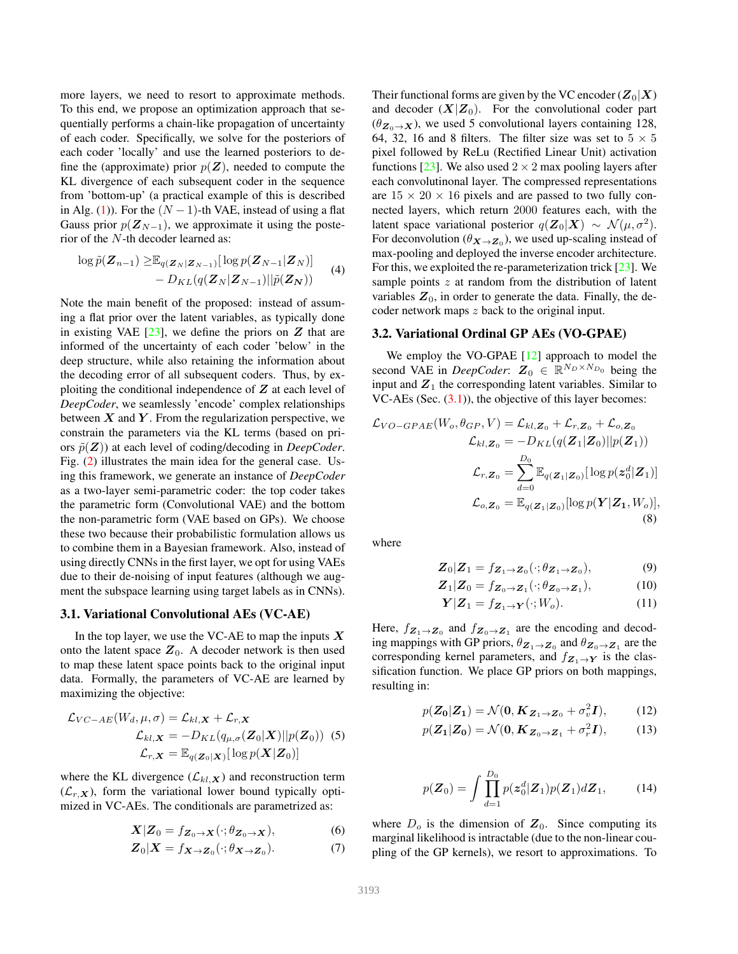<span id="page-3-3"></span>more layers, we need to resort to approximate methods. To this end, we propose an optimization approach that sequentially performs a chain-like propagation of uncertainty of each coder. Specifically, we solve for the posteriors of each coder 'locally' and use the learned posteriors to define the (approximate) prior  $p(\mathbf{Z})$ , needed to compute the KL divergence of each subsequent coder in the sequence from 'bottom-up' (a practical example of this is described in Alg. [\(1\)](#page-5-0)). For the  $(N - 1)$ -th VAE, instead of using a flat Gauss prior  $p(\mathbf{Z}_{N-1})$ , we approximate it using the posterior of the N-th decoder learned as:

$$
\log \tilde{p}(\mathbf{Z}_{n-1}) \geq \mathbb{E}_{q(\mathbf{Z}_N|\mathbf{Z}_{N-1})}[\log p(\mathbf{Z}_{N-1}|\mathbf{Z}_N)] - D_{KL}(q(\mathbf{Z}_N|\mathbf{Z}_{N-1})||\tilde{p}(\mathbf{Z}_N))
$$
 (4)

Note the main benefit of the proposed: instead of assuming a flat prior over the latent variables, as typically done in existing VAE  $[23]$ , we define the priors on  $Z$  that are informed of the uncertainty of each coder 'below' in the deep structure, while also retaining the information about the decoding error of all subsequent coders. Thus, by exploiting the conditional independence of  $Z$  at each level of *DeepCoder*, we seamlessly 'encode' complex relationships between  $X$  and  $Y$ . From the regularization perspective, we constrain the parameters via the KL terms (based on priors  $\tilde{p}(Z)$ ) at each level of coding/decoding in *DeepCoder*. Fig. [\(2\)](#page-2-2) illustrates the main idea for the general case. Using this framework, we generate an instance of *DeepCoder* as a two-layer semi-parametric coder: the top coder takes the parametric form (Convolutional VAE) and the bottom the non-parametric form (VAE based on GPs). We choose these two because their probabilistic formulation allows us to combine them in a Bayesian framework. Also, instead of using directly CNNs in the first layer, we opt for using VAEs due to their de-noising of input features (although we augment the subspace learning using target labels as in CNNs).

#### <span id="page-3-0"></span>3.1. Variational Convolutional AEs (VC-AE)

In the top layer, we use the VC-AE to map the inputs  $X$ onto the latent space  $Z_0$ . A decoder network is then used to map these latent space points back to the original input data. Formally, the parameters of VC-AE are learned by maximizing the objective:

$$
\mathcal{L}_{VC-AE}(W_d, \mu, \sigma) = \mathcal{L}_{kl, \mathbf{X}} + \mathcal{L}_{r, \mathbf{X}}
$$

$$
\mathcal{L}_{kl, \mathbf{X}} = -D_{KL}(q_{\mu, \sigma}(\mathbf{Z}_0|\mathbf{X})||p(\mathbf{Z}_0))
$$
(5)
$$
\mathcal{L}_{r, \mathbf{X}} = \mathbb{E}_{q(\mathbf{Z}_0|\mathbf{X})}[\log p(\mathbf{X}|\mathbf{Z}_0)]
$$

where the KL divergence  $(\mathcal{L}_{kl}, \mathbf{x})$  and reconstruction term  $(\mathcal{L}_{r,X})$ , form the variational lower bound typically optimized in VC-AEs. The conditionals are parametrized as:

$$
\mathbf{X}|\mathbf{Z}_0 = f_{\mathbf{Z}_0 \to \mathbf{X}}(\cdot; \theta_{\mathbf{Z}_0 \to \mathbf{X}}),\tag{6}
$$

$$
\mathbf{Z}_0|\mathbf{X} = f_{\mathbf{X} \to \mathbf{Z}_0}(\cdot; \theta_{\mathbf{X} \to \mathbf{Z}_0}).\tag{7}
$$

Their functional forms are given by the VC encoder  $(Z_0|X)$ and decoder  $(X|Z_0)$ . For the convolutional coder part  $(\theta_{\mathbf{Z}_0 \to \mathbf{X}})$ , we used 5 convolutional layers containing 128, 64, 32, 16 and 8 filters. The filter size was set to  $5 \times 5$ pixel followed by ReLu (Rectified Linear Unit) activation functions [\[23\]](#page-8-11). We also used  $2 \times 2$  max pooling layers after each convolutinonal layer. The compressed representations are  $15 \times 20 \times 16$  pixels and are passed to two fully connected layers, which return 2000 features each, with the latent space variational posterior  $q(\mathbf{Z}_0|\mathbf{X}) \sim \mathcal{N}(\mu, \sigma^2)$ . For deconvolution ( $\theta_{\mathbf{X}\to\mathbf{Z}_0}$ ), we used up-scaling instead of max-pooling and deployed the inverse encoder architecture. For this, we exploited the re-parameterization trick [\[23\]](#page-8-11). We sample points  $z$  at random from the distribution of latent variables  $Z_0$ , in order to generate the data. Finally, the decoder network maps z back to the original input.

#### 3.2. Variational Ordinal GP AEs (VO-GPAE)

We employ the VO-GPAE [\[12\]](#page-8-12) approach to model the second VAE in *DeepCoder*:  $Z_0 \in \mathbb{R}^{N_D \times N_{D_0}}$  being the input and  $Z_1$  the corresponding latent variables. Similar to VC-AEs (Sec.  $(3.1)$ ), the objective of this layer becomes:

$$
\mathcal{L}_{VO-GPAE}(W_o, \theta_{GP}, V) = \mathcal{L}_{kl, \mathbf{Z}_0} + \mathcal{L}_{r, \mathbf{Z}_0} + \mathcal{L}_{o, \mathbf{Z}_0}
$$

$$
\mathcal{L}_{kl, \mathbf{Z}_0} = -D_{KL}(q(\mathbf{Z}_1 | \mathbf{Z}_0) || p(\mathbf{Z}_1))
$$

$$
\mathcal{L}_{r, \mathbf{Z}_0} = \sum_{d=0}^{D_0} \mathbb{E}_{q(\mathbf{Z}_1 | \mathbf{Z}_0)} [\log p(\mathbf{z}_0^d | \mathbf{Z}_1)]
$$

$$
\mathcal{L}_{o, \mathbf{Z}_0} = \mathbb{E}_{q(\mathbf{Z}_1 | \mathbf{Z}_0)} [\log p(\mathbf{Y} | \mathbf{Z}_1, W_o)],
$$
(8)

where

<span id="page-3-2"></span>
$$
\mathbf{Z}_0|\mathbf{Z}_1 = f_{\mathbf{Z}_1 \to \mathbf{Z}_0}(\cdot; \theta_{\mathbf{Z}_1 \to \mathbf{Z}_0}),\tag{9}
$$

$$
\mathbf{Z}_1|\mathbf{Z}_0 = f_{\mathbf{Z}_0 \to \mathbf{Z}_1}(\cdot; \theta_{\mathbf{Z}_0 \to \mathbf{Z}_1}),\tag{10}
$$

$$
\mathbf{Y}|\mathbf{Z}_1 = f_{\mathbf{Z}_1 \to \mathbf{Y}}(\cdot; W_o). \tag{11}
$$

Here,  $f_{\mathbf{Z}_1 \to \mathbf{Z}_0}$  and  $f_{\mathbf{Z}_0 \to \mathbf{Z}_1}$  are the encoding and decoding mappings with GP priors,  $\theta_{Z_1 \to Z_0}$  and  $\theta_{Z_0 \to Z_1}$  are the corresponding kernel parameters, and  $f_{Z_1\rightarrow Y}$  is the classification function. We place GP priors on both mappings, resulting in:

$$
p(\mathbf{Z_0}|\mathbf{Z_1}) = \mathcal{N}(\mathbf{0}, \mathbf{K}_{\mathbf{Z_1} \to \mathbf{Z_0}} + \sigma_v^2 \mathbf{I}), \quad (12)
$$

<span id="page-3-1"></span>
$$
p(\mathbf{Z}_1|\mathbf{Z}_0) = \mathcal{N}(\mathbf{0}, \mathbf{K}_{\mathbf{Z}_0 \to \mathbf{Z}_1} + \sigma_r^2 \mathbf{I}), \tag{13}
$$

$$
p(\mathbf{Z}_0) = \int \prod_{d=1}^{D_0} p(\mathbf{z}_0^d | \mathbf{Z}_1) p(\mathbf{Z}_1) d\mathbf{Z}_1, \quad (14)
$$

where  $D<sub>o</sub>$  is the dimension of  $\mathbf{Z}<sub>0</sub>$ . Since computing its marginal likelihood is intractable (due to the non-linear coupling of the GP kernels), we resort to approximations. To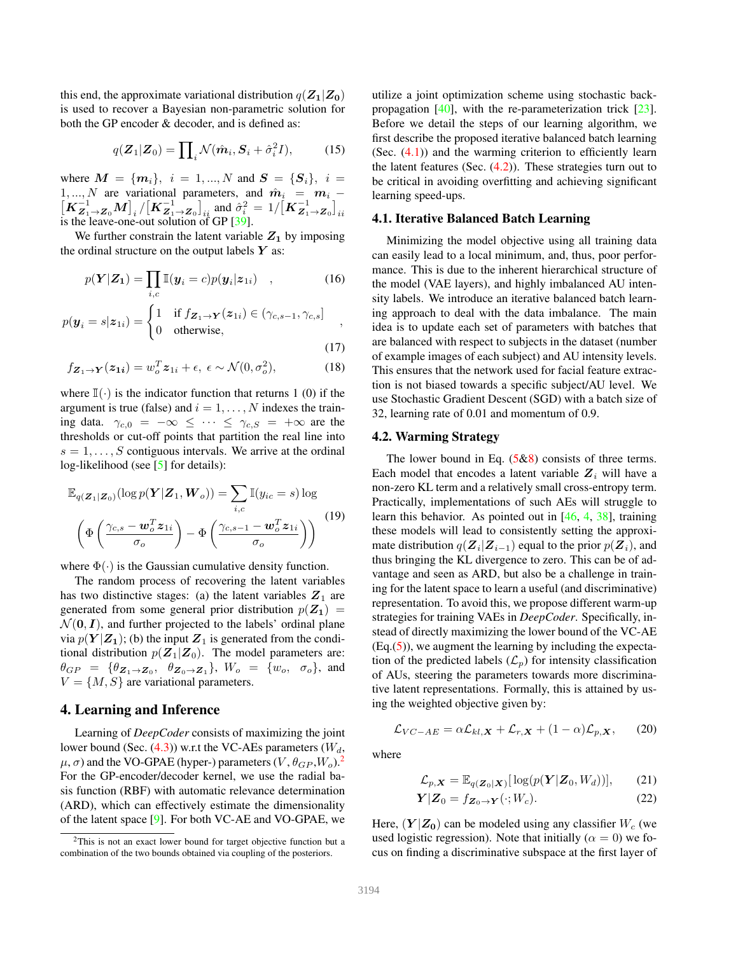<span id="page-4-3"></span>this end, the approximate variational distribution  $q(\mathbf{Z}_1|\mathbf{Z}_0)$ is used to recover a Bayesian non-parametric solution for both the GP encoder & decoder, and is defined as:

$$
q(\mathbf{Z}_1|\mathbf{Z}_0) = \prod_i \mathcal{N}(\hat{\boldsymbol{m}}_i, \mathbf{S}_i + \hat{\sigma}_i^2 I), \qquad (15)
$$

where  $M = \{m_i\}, i = 1, ..., N$  and  $S = \{S_i\}, i =$ 1, ..., N are variational parameters, and  $\hat{m}_i = m_i - [K_{Z_1 \to Z_0}^{-1} M]_i / [K_{Z_1 \to Z_0}^{-1}]_{ii}$  and  $\hat{\sigma}_i^2 = 1 / [K_{Z_1 \to Z_0}^{-1}]_{ii}$ is the leave-one-out solution of GP [\[39\]](#page-8-10).

We further constrain the latent variable  $Z_1$  by imposing the ordinal structure on the output labels  $Y$  as:

$$
p(\boldsymbol{Y}|\boldsymbol{Z}_{1}) = \prod_{i,c} \mathbb{I}(\boldsymbol{y}_{i}=c)p(\boldsymbol{y}_{i}|\boldsymbol{z}_{1i}) \quad , \tag{16}
$$

$$
p(\boldsymbol{y}_i = s | \boldsymbol{z}_{1i}) = \begin{cases} 1 & \text{if } f_{\boldsymbol{Z}_1 \to \boldsymbol{Y}}(\boldsymbol{z}_{1i}) \in (\gamma_{c,s-1}, \gamma_{c,s}] \\ 0 & \text{otherwise}, \end{cases},
$$

(17)

$$
f_{\mathbf{Z}_1 \to \mathbf{Y}}(\mathbf{z}_{1i}) = w_o^T \mathbf{z}_{1i} + \epsilon, \ \epsilon \sim \mathcal{N}(0, \sigma_o^2), \tag{18}
$$

where  $\mathbb{I}(\cdot)$  is the indicator function that returns 1 (0) if the argument is true (false) and  $i = 1, \ldots, N$  indexes the training data.  $\gamma_{c,0} = -\infty \leq \cdots \leq \gamma_{c,S} = +\infty$  are the thresholds or cut-off points that partition the real line into  $s = 1, \ldots, S$  contiguous intervals. We arrive at the ordinal log-likelihood (see [\[5\]](#page-8-30) for details):

$$
\mathbb{E}_{q(\mathbf{Z}_1|\mathbf{Z}_0)}(\log p(\mathbf{Y}|\mathbf{Z}_1, \mathbf{W}_o)) = \sum_{i,c} \mathbb{I}(y_{ic} = s) \log \left( \Phi\left(\frac{\gamma_{c,s} - \mathbf{w}_o^T \mathbf{z}_{1i}}{\sigma_o}\right) - \Phi\left(\frac{\gamma_{c,s-1} - \mathbf{w}_o^T \mathbf{z}_{1i}}{\sigma_o}\right) \right)
$$
(19)

where  $\Phi(\cdot)$  is the Gaussian cumulative density function.

The random process of recovering the latent variables has two distinctive stages: (a) the latent variables  $Z_1$  are generated from some general prior distribution  $p(\mathbf{Z}_1)$  =  $\mathcal{N}(\mathbf{0}, \mathbf{I})$ , and further projected to the labels' ordinal plane via  $p(Y|Z_1)$ ; (b) the input  $Z_1$  is generated from the conditional distribution  $p(\mathbf{Z}_1|\mathbf{Z}_0)$ . The model parameters are:  $\theta_{GP} = \{\theta_{\mathbf{Z}_1 \to \mathbf{Z}_0}, \ \theta_{\mathbf{Z}_0 \to \mathbf{Z}_1}\}, W_o = \{w_o, \ \sigma_o\}, \text{ and}$  $V = \{M, S\}$  are variational parameters.

## 4. Learning and Inference

Learning of *DeepCoder* consists of maximizing the joint lower bound (Sec.  $(4.3)$ ) w.r.t the VC-AEs parameters  $(W_d,$  $\mu$ ,  $\sigma$ ) and the VO-GPAE (hyper-) parameters  $(V, \theta_{GP}, W_o)^2$  $(V, \theta_{GP}, W_o)^2$ For the GP-encoder/decoder kernel, we use the radial basis function (RBF) with automatic relevance determination (ARD), which can effectively estimate the dimensionality of the latent space [\[9\]](#page-8-31). For both VC-AE and VO-GPAE, we

utilize a joint optimization scheme using stochastic backpropagation [\[40\]](#page-8-32), with the re-parameterization trick [\[23\]](#page-8-11). Before we detail the steps of our learning algorithm, we first describe the proposed iterative balanced batch learning (Sec.  $(4.1)$ ) and the warming criterion to efficiently learn the latent features (Sec.  $(4.2)$ ). These strategies turn out to be critical in avoiding overfitting and achieving significant learning speed-ups.

## <span id="page-4-1"></span>4.1. Iterative Balanced Batch Learning

Minimizing the model objective using all training data can easily lead to a local minimum, and, thus, poor performance. This is due to the inherent hierarchical structure of the model (VAE layers), and highly imbalanced AU intensity labels. We introduce an iterative balanced batch learning approach to deal with the data imbalance. The main idea is to update each set of parameters with batches that are balanced with respect to subjects in the dataset (number of example images of each subject) and AU intensity levels. This ensures that the network used for facial feature extraction is not biased towards a specific subject/AU level. We use Stochastic Gradient Descent (SGD) with a batch size of 32, learning rate of 0.01 and momentum of 0.9.

## <span id="page-4-2"></span>4.2. Warming Strategy

The lower bound in Eq.  $(5&8)$  $(5&8)$  consists of three terms. Each model that encodes a latent variable  $Z_i$  will have a non-zero KL term and a relatively small cross-entropy term. Practically, implementations of such AEs will struggle to learn this behavior. As pointed out in [\[46,](#page-9-13) [4,](#page-8-33) [38\]](#page-8-34), training these models will lead to consistently setting the approximate distribution  $q(\boldsymbol{Z}_{i}|\boldsymbol{Z}_{i-1})$  equal to the prior  $p(\boldsymbol{Z}_{i}),$  and thus bringing the KL divergence to zero. This can be of advantage and seen as ARD, but also be a challenge in training for the latent space to learn a useful (and discriminative) representation. To avoid this, we propose different warm-up strategies for training VAEs in *DeepCoder*. Specifically, instead of directly maximizing the lower bound of the VC-AE  $(Eq. (5))$  $(Eq. (5))$  $(Eq. (5))$ , we augment the learning by including the expectation of the predicted labels  $(\mathcal{L}_p)$  for intensity classification of AUs, steering the parameters towards more discriminative latent representations. Formally, this is attained by using the weighted objective given by:

where

$$
\mathcal{L}_{p,\mathbf{X}} = \mathbb{E}_{q(\mathbf{Z}_0|\mathbf{X})}[\log(p(\mathbf{Y}|\mathbf{Z}_0, W_d))],\qquad(21)
$$

$$
\mathbf{Y}|\mathbf{Z}_0 = f_{\mathbf{Z}_0 \to \mathbf{Y}}(\cdot; W_c). \tag{22}
$$

 $\mathcal{L}_{VC-AE} = \alpha \mathcal{L}_{kl,\mathbf{X}} + \mathcal{L}_{r,\mathbf{X}} + (1-\alpha) \mathcal{L}_{p,\mathbf{X}},$  (20)

Here,  $(Y|Z_0)$  can be modeled using any classifier  $W_c$  (we used logistic regression). Note that initially ( $\alpha = 0$ ) we focus on finding a discriminative subspace at the first layer of

<span id="page-4-0"></span><sup>&</sup>lt;sup>2</sup>This is not an exact lower bound for target objective function but a combination of the two bounds obtained via coupling of the posteriors.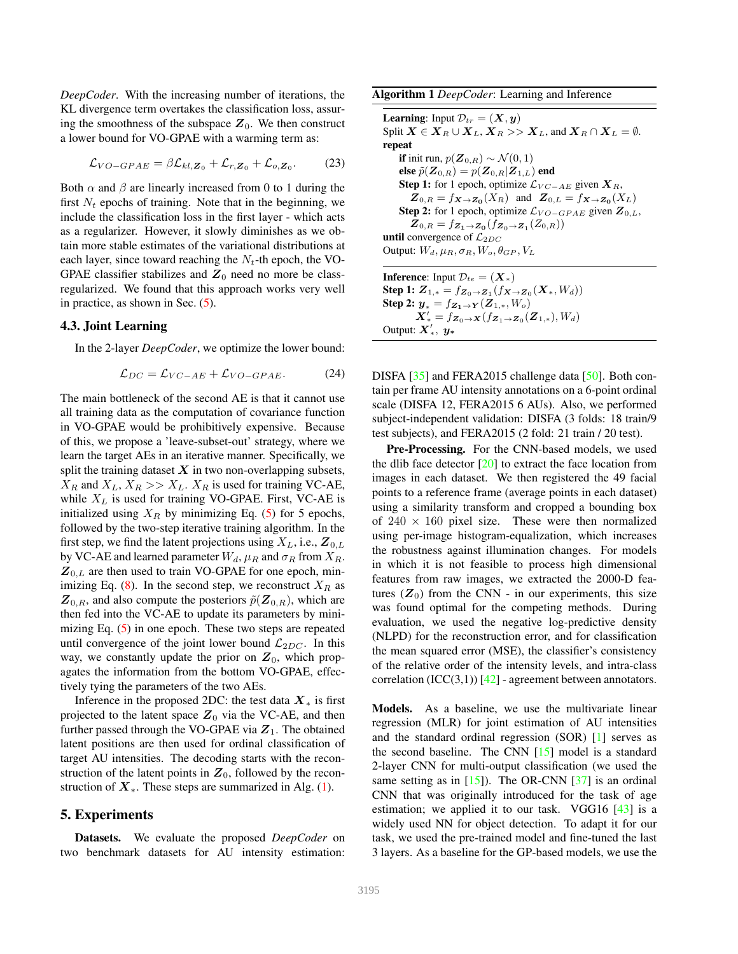<span id="page-5-3"></span>*DeepCoder*. With the increasing number of iterations, the KL divergence term overtakes the classification loss, assuring the smoothness of the subspace  $Z_0$ . We then construct a lower bound for VO-GPAE with a warming term as:

$$
\mathcal{L}_{VO-GPAE} = \beta \mathcal{L}_{kl,\mathbf{Z}_0} + \mathcal{L}_{r,\mathbf{Z}_0} + \mathcal{L}_{o,\mathbf{Z}_0}.
$$
 (23)

Both  $\alpha$  and  $\beta$  are linearly increased from 0 to 1 during the first  $N_t$  epochs of training. Note that in the beginning, we include the classification loss in the first layer - which acts as a regularizer. However, it slowly diminishes as we obtain more stable estimates of the variational distributions at each layer, since toward reaching the  $N_t$ -th epoch, the VO-GPAE classifier stabilizes and  $Z_0$  need no more be classregularized. We found that this approach works very well in practice, as shown in Sec. [\(5\)](#page-5-2).

#### <span id="page-5-1"></span>4.3. Joint Learning

In the 2-layer *DeepCoder*, we optimize the lower bound:

$$
\mathcal{L}_{DC} = \mathcal{L}_{VC-AE} + \mathcal{L}_{VO-GPAE}.\tag{24}
$$

The main bottleneck of the second AE is that it cannot use all training data as the computation of covariance function in VO-GPAE would be prohibitively expensive. Because of this, we propose a 'leave-subset-out' strategy, where we learn the target AEs in an iterative manner. Specifically, we split the training dataset  $X$  in two non-overlapping subsets,  $X_R$  and  $X_L, X_R >> X_L$ .  $X_R$  is used for training VC-AE, while  $X_L$  is used for training VO-GPAE. First, VC-AE is initialized using  $X_R$  by minimizing Eq. [\(5\)](#page-3-1) for 5 epochs, followed by the two-step iterative training algorithm. In the first step, we find the latent projections using  $X_L$ , i.e.,  $\mathbf{Z}_{0,L}$ by VC-AE and learned parameter  $W_d$ ,  $\mu_R$  and  $\sigma_R$  from  $X_R$ .  $Z_{0,L}$  are then used to train VO-GPAE for one epoch, min-imizing Eq. [\(8\)](#page-3-2). In the second step, we reconstruct  $X_R$  as  $\mathbf{Z}_{0,R}$ , and also compute the posteriors  $\tilde{p}(\mathbf{Z}_{0,R})$ , which are then fed into the VC-AE to update its parameters by minimizing Eq. [\(5\)](#page-3-1) in one epoch. These two steps are repeated until convergence of the joint lower bound  $\mathcal{L}_{2DC}$ . In this way, we constantly update the prior on  $Z_0$ , which propagates the information from the bottom VO-GPAE, effectively tying the parameters of the two AEs.

Inference in the proposed 2DC: the test data  $X_*$  is first projected to the latent space  $Z_0$  via the VC-AE, and then further passed through the VO-GPAE via  $Z_1$ . The obtained latent positions are then used for ordinal classification of target AU intensities. The decoding starts with the reconstruction of the latent points in  $Z_0$ , followed by the reconstruction of  $X_{*}$ . These steps are summarized in Alg. [\(1\)](#page-5-0).

## <span id="page-5-2"></span>5. Experiments

Datasets. We evaluate the proposed *DeepCoder* on two benchmark datasets for AU intensity estimation:

<span id="page-5-0"></span>

**Learning:** Input  $\mathcal{D}_{tr} = (\mathbf{X}, \mathbf{y})$ Split  $X \in X_R \cup X_L$ ,  $X_R >> X_L$ , and  $X_R \cap X_L = \emptyset$ . repeat if init run,  $p(\mathbf{Z}_{0,R}) \sim \mathcal{N}(0,1)$ else  $\tilde{p}(\boldsymbol{Z}_{0,R}) = p(\boldsymbol{Z}_{0,R}|\boldsymbol{Z}_{1,L})$  end Step 1: for 1 epoch, optimize  $\mathcal{L}_{VC-AE}$  given  $\mathbf{X}_R$ ,  $\mathbf{Z}_{0,R} = f_{\mathbf{X} \to \mathbf{Z_0}}(X_R)$  and  $\mathbf{Z}_{0,L} = f_{\mathbf{X} \to \mathbf{Z_0}}(X_L)$ Step 2: for 1 epoch, optimize  $\mathcal{L}_{VO-GPAE}$  given  $\mathbb{Z}_{0,L}$ ,  $\mathbf{Z}_{0,R} = f_{\mathbf{Z}_1 \to \mathbf{Z}_0}(f_{\mathbf{Z}_0 \to \mathbf{Z}_1}(Z_{0,R}))$ until convergence of  $\mathcal{L}_{2DC}$ Output:  $W_d$ ,  $\mu_R$ ,  $\sigma_R$ ,  $W_o$ ,  $\theta_{GP}$ ,  $V_L$ **Inference:** Input  $\mathcal{D}_{te} = (\mathbf{X}_*)$ Step 1:  $\bm{Z}_{1,*} = f_{\bm{Z}_0 \to \bm{Z}_1}(f_{\bm{X} \to \bm{Z}_0}(\bm{X}_*,W_d))$ Step 2:  $y_* = f_{Z_1 \to Y}(Z_{1,*}, W_o)$  $\mathbf{X}'_* = f\mathbf{z}_0 \rightarrow \mathbf{x} (f\mathbf{z}_1 \rightarrow \mathbf{z}_0 (\mathbf{Z}_{1,*}), W_d)$ Output:  $\mathbf{X}^{\prime}_{*}$ ,  $\mathbf{y}_{*}$ 

DISFA [\[35\]](#page-8-13) and FERA2015 challenge data [\[50\]](#page-9-5). Both contain per frame AU intensity annotations on a 6-point ordinal scale (DISFA 12, FERA2015 6 AUs). Also, we performed subject-independent validation: DISFA (3 folds: 18 train/9 test subjects), and FERA2015 (2 fold: 21 train / 20 test).

Pre-Processing. For the CNN-based models, we used the dlib face detector  $[20]$  to extract the face location from images in each dataset. We then registered the 49 facial points to a reference frame (average points in each dataset) using a similarity transform and cropped a bounding box of  $240 \times 160$  pixel size. These were then normalized using per-image histogram-equalization, which increases the robustness against illumination changes. For models in which it is not feasible to process high dimensional features from raw images, we extracted the 2000-D features  $(Z_0)$  from the CNN - in our experiments, this size was found optimal for the competing methods. During evaluation, we used the negative log-predictive density (NLPD) for the reconstruction error, and for classification the mean squared error (MSE), the classifier's consistency of the relative order of the intensity levels, and intra-class correlation  $(ICC(3,1))$  [\[42\]](#page-9-14) - agreement between annotators.

Models. As a baseline, we use the multivariate linear regression (MLR) for joint estimation of AU intensities and the standard ordinal regression (SOR) [\[1\]](#page-8-36) serves as the second baseline. The CNN [\[15\]](#page-8-3) model is a standard 2-layer CNN for multi-output classification (we used the same setting as in  $[15]$ ). The OR-CNN  $[37]$  is an ordinal CNN that was originally introduced for the task of age estimation; we applied it to our task. VGG16 [\[43\]](#page-9-15) is a widely used NN for object detection. To adapt it for our task, we used the pre-trained model and fine-tuned the last 3 layers. As a baseline for the GP-based models, we use the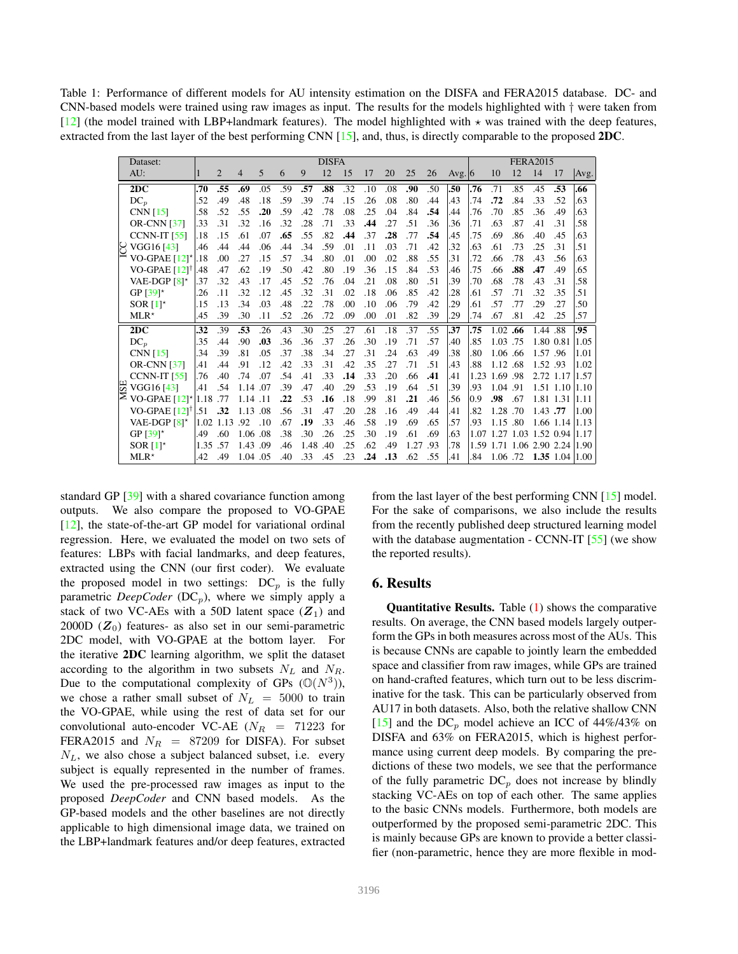<span id="page-6-1"></span><span id="page-6-0"></span>Table 1: Performance of different models for AU intensity estimation on the DISFA and FERA2015 database. DC- and CNN-based models were trained using raw images as input. The results for the models highlighted with  $\dagger$  were taken from [\[12\]](#page-8-12) (the model trained with LBP+landmark features). The model highlighted with  $\star$  was trained with the deep features, extracted from the last layer of the best performing CNN [\[15\]](#page-8-3), and, thus, is directly comparable to the proposed 2DC.

|    | Dataset:                          | <b>DISFA</b> |                |          |     |     |          |     |     |     |     |      | <b>FERA2015</b> |        |               |          |     |          |                                  |      |
|----|-----------------------------------|--------------|----------------|----------|-----|-----|----------|-----|-----|-----|-----|------|-----------------|--------|---------------|----------|-----|----------|----------------------------------|------|
|    | AU:                               | 1            | $\overline{2}$ | 4        | 5   | 6   | 9        | 12  | 15  | 17  | 20  | 25   | 26              | Avg. 6 |               | 10       | 12  | 14       | 17                               | Avg. |
|    | 2DC                               | .70          | .55            | .69      | .05 | .59 | .57      | .88 | .32 | .10 | .08 | .90  | .50             | .50    | .76           | .71      | .85 | .45      | .53                              | .66  |
|    | $DC_n$                            | .52          | .49            | .48      | .18 | .59 | .39      | .74 | .15 | .26 | .08 | .80  | .44             | .43    | .74           | .72      | .84 | .33      | .52                              | .63  |
|    | CNN $[15]$                        | .58          | .52            | .55      | .20 | .59 | .42      | .78 | .08 | .25 | .04 | .84  | .54             | .44    | .76           | .70      | .85 | .36      | .49                              | .63  |
|    | <b>OR-CNN</b> [37]                | .33          | .31            | .32      | .16 | .32 | .28      | .71 | .33 | .44 | .27 | .51  | .36             | .36    | .71           | .63      | .87 | .41      | .31                              | .58  |
|    | <b>CCNN-IT [55]</b>               | .18          | .15            | .61      | .07 | .65 | .55      | .82 | .44 | .37 | .28 | .77  | .54             | .45    | .75           | .69      | .86 | .40      | .45                              | .63  |
|    | $\bigcup$ VGG16 [43]              | .46          | .44            | .44      | .06 | .44 | .34      | .59 | .01 | .11 | .03 | .71  | .42             | .32    | .63           | .61      | .73 | .25      | .31                              | .51  |
|    | VO-GPAE [12]* .18                 |              | .00            | .27      | .15 | .57 | .34      | .80 | .01 | .00 | .02 | .88  | .55             | .31    | .72           | .66      | .78 | .43      | .56                              | .63  |
|    | VO-GPAE [12] <sup>1</sup>         | .48          | .47            | .62      | .19 | .50 | .42      | .80 | .19 | .36 | .15 | .84  | .53             | .46    | .75           | .66      | .88 | .47      | .49                              | .65  |
|    | VAE-DGP $[8]^*$                   | .37          | .32            | .43      | .17 | .45 | .52      | .76 | .04 | .21 | .08 | .80  | .51             | .39    | .70           | .68      | .78 | .43      | .31                              | .58  |
|    | GP $[39]$ <sup>*</sup>            | .26          | .11            | .32      | .12 | .45 | .32      | .31 | .02 | .18 | .06 | .85  | .42             | .28    | .61           | .57      | .71 | .32      | .35                              | .51  |
|    | SOR <sub><math>[1]</math></sub>   | .15          | .13            | .34      | .03 | .48 | .22      | .78 | .00 | .10 | .06 | .79  | .42             | .29    | .61           | .57      | .77 | .29      | .27                              | .50  |
|    | $MLR*$                            | .45          | .39            | .30      | .11 | .52 | .26      | .72 | .09 | .00 | .01 | .82  | .39             | .29    | .74           | .67      | .81 | .42      | .25                              | .57  |
| 55 | 2DC                               | .32          | .39            | .53      | .26 | .43 | .30      | .25 | .27 | .61 | .18 | .37  | .55             | .37    | .75           | 1.02.66  |     | 1.44 .88 |                                  | .95  |
|    | $DC_n$                            | .35          | .44            | .90      | .03 | .36 | .36      | .37 | .26 | .30 | .19 | .71  | .57             | .40    | .85           | 1.03 .75 |     |          | 1.80 0.81 1.05                   |      |
|    | <b>CNN</b> [15]                   | .34          | .39            | .81      | .05 | .37 | .38      | .34 | .27 | .31 | .24 | .63  | .49             | .38    | .80           | 1.06 .66 |     | 1.57.96  |                                  | 1.01 |
|    | <b>OR-CNN</b> [37]                | .41          | .44            | .91      | .12 | .42 | .33      | .31 | .42 | .35 | .27 | .71  | .51             | .43    | .88           | 1.12 .68 |     | 1.52.93  |                                  | 1.02 |
|    | <b>CCNN-IT [55]</b>               | .76          | .40            | .74      | .07 | .54 | .41      | .33 | .14 | .33 | .20 | .66  | .41             | .41    | 1.23          | 1.69.98  |     |          | 2.72 1.17 1.57                   |      |
|    | VGG16 [43]                        | .41          | .54            | 1.14 .07 |     | .39 | .47      | .40 | .29 | .53 | .19 | .64  | .51             | .39    | .93           | 1.04 .91 |     |          | 1.51 1.10 1.10                   |      |
|    | $\geq$ VO-GPAE [12]* 1.18 .77     |              |                | 1.14.11  |     | .22 | .53      | .16 | .18 | .99 | .81 | .21  | .46             | .56    | $ 0.9\rangle$ | .98      | .67 |          | 1.81 1.31 1.11                   |      |
|    | VO-GPAE $[12]$ <sup>†</sup> $.51$ |              | .32            | 1.13 .08 |     | .56 | .31      | .47 | .20 | .28 | .16 | .49  | .44             | .41    | .82           | 1.28 .70 |     | 1.43.77  |                                  | 1.00 |
|    | VAE-DGP $[8]$ *                   |              | 1.02 1.13      | .92      | .10 | .67 | .19      | .33 | .46 | .58 | .19 | .69  | .65             | .57    | .93           | 1.15 .80 |     |          | 1.66 1.14 1.13                   |      |
|    | GP $[39]$ <sup>*</sup>            | .49          | .60            | 1.06 .08 |     | .38 | .30      | .26 | .25 | .30 | .19 | .61  | .69             | .63    |               |          |     |          | 1.07 1.27 1.03 1.52 0.94 1.17    |      |
|    | SOR <sub><math>[1]</math></sub>   | 1.35         | .57            | 1.43 .09 |     | .46 | 1.48 .40 |     | .25 | .62 | .49 | 1.27 | .93             | .78    |               |          |     |          | 1.59 1.71 1.06 2.90 2.24 1.90    |      |
|    | $MLR*$                            | .42          | .49            | 1.04 .05 |     | .40 | .33      | .45 | .23 | .24 | .13 | .62  | .55             | l.41   | .84           |          |     |          | $1.06$ .72 <b>1.35</b> 1.04 1.00 |      |

standard GP [\[39\]](#page-8-10) with a shared covariance function among outputs. We also compare the proposed to VO-GPAE [\[12\]](#page-8-12), the state-of-the-art GP model for variational ordinal regression. Here, we evaluated the model on two sets of features: LBPs with facial landmarks, and deep features, extracted using the CNN (our first coder). We evaluate the proposed model in two settings:  $DC_p$  is the fully parametric *DeepCoder* (DC<sub>p</sub>), where we simply apply a stack of two VC-AEs with a 50D latent space  $(Z_1)$  and 2000D ( $Z_0$ ) features- as also set in our semi-parametric 2DC model, with VO-GPAE at the bottom layer. For the iterative 2DC learning algorithm, we split the dataset according to the algorithm in two subsets  $N_L$  and  $N_R$ . Due to the computational complexity of GPs  $(\mathbb{O}(N^3))$ , we chose a rather small subset of  $N_L$  = 5000 to train the VO-GPAE, while using the rest of data set for our convolutional auto-encoder VC-AE ( $N_R$  = 71223 for FERA2015 and  $N_R$  = 87209 for DISFA). For subset  $N_L$ , we also chose a subject balanced subset, i.e. every subject is equally represented in the number of frames. We used the pre-processed raw images as input to the proposed *DeepCoder* and CNN based models. As the GP-based models and the other baselines are not directly applicable to high dimensional image data, we trained on the LBP+landmark features and/or deep features, extracted

from the last layer of the best performing CNN [\[15\]](#page-8-3) model. For the sake of comparisons, we also include the results from the recently published deep structured learning model with the database augmentation - CCNN-IT [\[55\]](#page-9-16) (we show the reported results).

## 6. Results

Quantitative Results. Table [\(1\)](#page-6-0) shows the comparative results. On average, the CNN based models largely outperform the GPs in both measures across most of the AUs. This is because CNNs are capable to jointly learn the embedded space and classifier from raw images, while GPs are trained on hand-crafted features, which turn out to be less discriminative for the task. This can be particularly observed from AU17 in both datasets. Also, both the relative shallow CNN [\[15\]](#page-8-3) and the DC<sub>p</sub> model achieve an ICC of  $44\%/43\%$  on DISFA and 63% on FERA2015, which is highest performance using current deep models. By comparing the predictions of these two models, we see that the performance of the fully parametric  $DC_p$  does not increase by blindly stacking VC-AEs on top of each other. The same applies to the basic CNNs models. Furthermore, both models are outperformed by the proposed semi-parametric 2DC. This is mainly because GPs are known to provide a better classifier (non-parametric, hence they are more flexible in mod-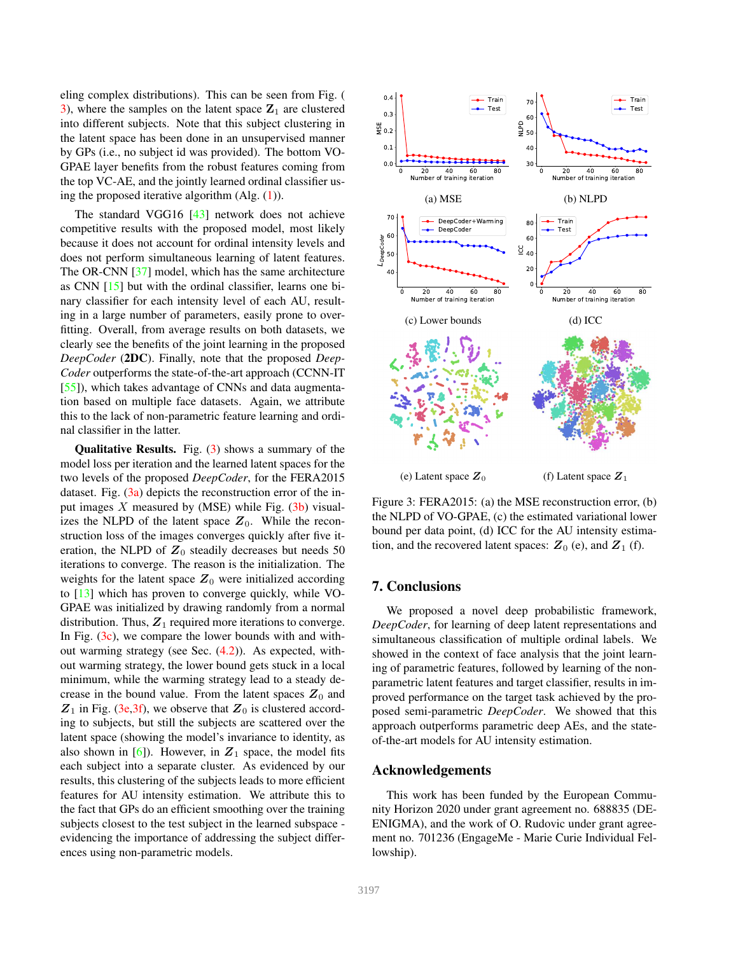<span id="page-7-1"></span>eling complex distributions). This can be seen from Fig. ( [3\)](#page-7-0), where the samples on the latent space  $\mathbf{Z}_1$  are clustered into different subjects. Note that this subject clustering in the latent space has been done in an unsupervised manner by GPs (i.e., no subject id was provided). The bottom VO-GPAE layer benefits from the robust features coming from the top VC-AE, and the jointly learned ordinal classifier using the proposed iterative algorithm  $(Alg. (1))$  $(Alg. (1))$  $(Alg. (1))$ .

The standard VGG16 [\[43\]](#page-9-15) network does not achieve competitive results with the proposed model, most likely because it does not account for ordinal intensity levels and does not perform simultaneous learning of latent features. The OR-CNN [\[37\]](#page-8-37) model, which has the same architecture as CNN [\[15\]](#page-8-3) but with the ordinal classifier, learns one binary classifier for each intensity level of each AU, resulting in a large number of parameters, easily prone to overfitting. Overall, from average results on both datasets, we clearly see the benefits of the joint learning in the proposed *DeepCoder* (2DC). Finally, note that the proposed *Deep-Coder* outperforms the state-of-the-art approach (CCNN-IT [\[55\]](#page-9-16)), which takes advantage of CNNs and data augmentation based on multiple face datasets. Again, we attribute this to the lack of non-parametric feature learning and ordinal classifier in the latter.

**Qualitative Results.** Fig.  $(3)$  shows a summary of the model loss per iteration and the learned latent spaces for the two levels of the proposed *DeepCoder*, for the FERA2015 dataset. Fig. [\(3a\)](#page-7-0) depicts the reconstruction error of the input images  $X$  measured by (MSE) while Fig.  $(3b)$  visualizes the NLPD of the latent space  $Z_0$ . While the reconstruction loss of the images converges quickly after five iteration, the NLPD of  $Z_0$  steadily decreases but needs 50 iterations to converge. The reason is the initialization. The weights for the latent space  $Z_0$  were initialized according to [\[13\]](#page-8-38) which has proven to converge quickly, while VO-GPAE was initialized by drawing randomly from a normal distribution. Thus,  $Z_1$  required more iterations to converge. In Fig.  $(3c)$ , we compare the lower bounds with and without warming strategy (see Sec. [\(4.2\)](#page-4-2)). As expected, without warming strategy, the lower bound gets stuck in a local minimum, while the warming strategy lead to a steady decrease in the bound value. From the latent spaces  $Z_0$  and  $Z_1$  in Fig. [\(3e,3f\)](#page-7-0), we observe that  $Z_0$  is clustered according to subjects, but still the subjects are scattered over the latent space (showing the model's invariance to identity, as also shown in [\[6\]](#page-8-39)). However, in  $Z_1$  space, the model fits each subject into a separate cluster. As evidenced by our results, this clustering of the subjects leads to more efficient features for AU intensity estimation. We attribute this to the fact that GPs do an efficient smoothing over the training subjects closest to the test subject in the learned subspace evidencing the importance of addressing the subject differences using non-parametric models.

<span id="page-7-0"></span>

Figure 3: FERA2015: (a) the MSE reconstruction error, (b) the NLPD of VO-GPAE, (c) the estimated variational lower bound per data point, (d) ICC for the AU intensity estimation, and the recovered latent spaces:  $Z_0$  (e), and  $Z_1$  (f).

# 7. Conclusions

We proposed a novel deep probabilistic framework, *DeepCoder*, for learning of deep latent representations and simultaneous classification of multiple ordinal labels. We showed in the context of face analysis that the joint learning of parametric features, followed by learning of the nonparametric latent features and target classifier, results in improved performance on the target task achieved by the proposed semi-parametric *DeepCoder*. We showed that this approach outperforms parametric deep AEs, and the stateof-the-art models for AU intensity estimation.

# Acknowledgements

This work has been funded by the European Community Horizon 2020 under grant agreement no. 688835 (DE-ENIGMA), and the work of O. Rudovic under grant agreement no. 701236 (EngageMe - Marie Curie Individual Fellowship).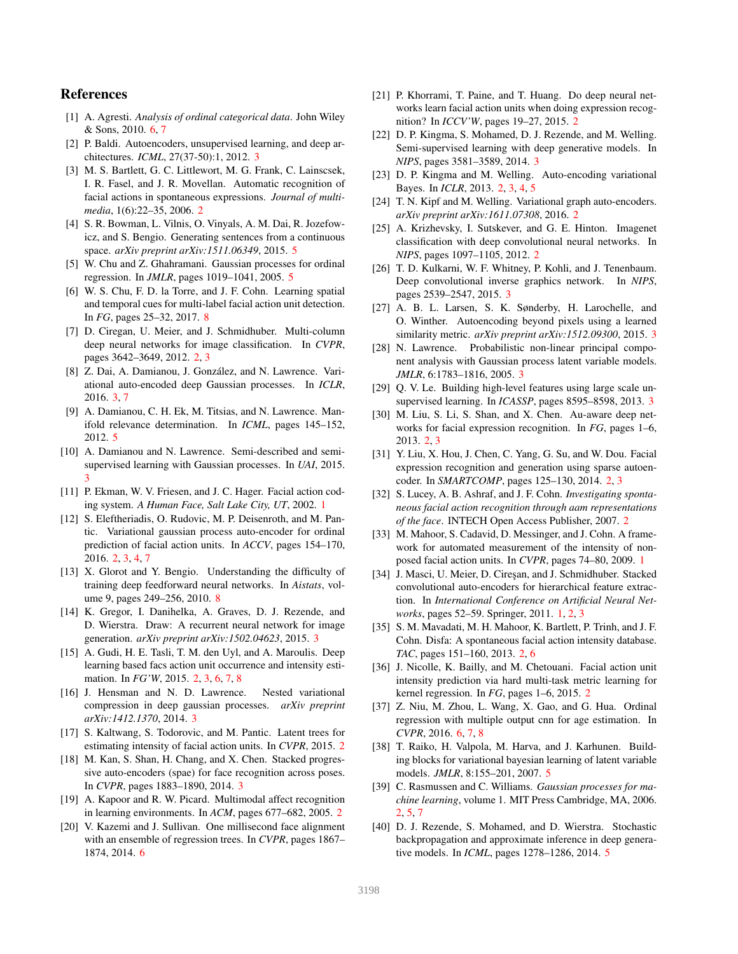# References

- <span id="page-8-36"></span>[1] A. Agresti. *Analysis of ordinal categorical data*. John Wiley & Sons, 2010. [6,](#page-5-3) [7](#page-6-1)
- <span id="page-8-19"></span>[2] P. Baldi. Autoencoders, unsupervised learning, and deep architectures. *ICML*, 27(37-50):1, 2012. [3](#page-2-3)
- <span id="page-8-15"></span>[3] M. S. Bartlett, G. C. Littlewort, M. G. Frank, C. Lainscsek, I. R. Fasel, and J. R. Movellan. Automatic recognition of facial actions in spontaneous expressions. *Journal of multimedia*, 1(6):22–35, 2006. [2](#page-1-0)
- <span id="page-8-33"></span>[4] S. R. Bowman, L. Vilnis, O. Vinyals, A. M. Dai, R. Jozefowicz, and S. Bengio. Generating sentences from a continuous space. *arXiv preprint arXiv:1511.06349*, 2015. [5](#page-4-3)
- <span id="page-8-30"></span>[5] W. Chu and Z. Ghahramani. Gaussian processes for ordinal regression. In *JMLR*, pages 1019–1041, 2005. [5](#page-4-3)
- <span id="page-8-39"></span>[6] W. S. Chu, F. D. la Torre, and J. F. Cohn. Learning spatial and temporal cues for multi-label facial action unit detection. In *FG*, pages 25–32, 2017. [8](#page-7-1)
- <span id="page-8-9"></span>[7] D. Ciregan, U. Meier, and J. Schmidhuber. Multi-column deep neural networks for image classification. In *CVPR*, pages 3642–3649, 2012. [2,](#page-1-0) [3](#page-2-3)
- <span id="page-8-28"></span>[8] Z. Dai, A. Damianou, J. González, and N. Lawrence. Variational auto-encoded deep Gaussian processes. In *ICLR*, 2016. [3,](#page-2-3) [7](#page-6-1)
- <span id="page-8-31"></span>[9] A. Damianou, C. H. Ek, M. Titsias, and N. Lawrence. Manifold relevance determination. In *ICML*, pages 145–152, 2012. [5](#page-4-3)
- <span id="page-8-27"></span>[10] A. Damianou and N. Lawrence. Semi-described and semisupervised learning with Gaussian processes. In *UAI*, 2015. [3](#page-2-3)
- <span id="page-8-1"></span>[11] P. Ekman, W. V. Friesen, and J. C. Hager. Facial action coding system. *A Human Face, Salt Lake City, UT*, 2002. [1](#page-0-2)
- <span id="page-8-12"></span>[12] S. Eleftheriadis, O. Rudovic, M. P. Deisenroth, and M. Pantic. Variational gaussian process auto-encoder for ordinal prediction of facial action units. In *ACCV*, pages 154–170, 2016. [2,](#page-1-0) [3,](#page-2-3) [4,](#page-3-3) [7](#page-6-1)
- <span id="page-8-38"></span>[13] X. Glorot and Y. Bengio. Understanding the difficulty of training deep feedforward neural networks. In *Aistats*, volume 9, pages 249–256, 2010. [8](#page-7-1)
- <span id="page-8-21"></span>[14] K. Gregor, I. Danihelka, A. Graves, D. J. Rezende, and D. Wierstra. Draw: A recurrent neural network for image generation. *arXiv preprint arXiv:1502.04623*, 2015. [3](#page-2-3)
- <span id="page-8-3"></span>[15] A. Gudi, H. E. Tasli, T. M. den Uyl, and A. Maroulis. Deep learning based facs action unit occurrence and intensity estimation. In *FG'W*, 2015. [2,](#page-1-0) [3,](#page-2-3) [6,](#page-5-3) [7,](#page-6-1) [8](#page-7-1)
- <span id="page-8-29"></span>[16] J. Hensman and N. D. Lawrence. Nested variational compression in deep gaussian processes. *arXiv preprint arXiv:1412.1370*, 2014. [3](#page-2-3)
- <span id="page-8-7"></span>[17] S. Kaltwang, S. Todorovic, and M. Pantic. Latent trees for estimating intensity of facial action units. In *CVPR*, 2015. [2](#page-1-0)
- <span id="page-8-25"></span>[18] M. Kan, S. Shan, H. Chang, and X. Chen. Stacked progressive auto-encoders (spae) for face recognition across poses. In *CVPR*, pages 1883–1890, 2014. [3](#page-2-3)
- <span id="page-8-14"></span>[19] A. Kapoor and R. W. Picard. Multimodal affect recognition in learning environments. In *ACM*, pages 677–682, 2005. [2](#page-1-0)
- <span id="page-8-35"></span>[20] V. Kazemi and J. Sullivan. One millisecond face alignment with an ensemble of regression trees. In *CVPR*, pages 1867– 1874, 2014. [6](#page-5-3)
- <span id="page-8-6"></span>[21] P. Khorrami, T. Paine, and T. Huang. Do deep neural networks learn facial action units when doing expression recognition? In *ICCV'W*, pages 19–27, 2015. [2](#page-1-0)
- <span id="page-8-22"></span>[22] D. P. Kingma, S. Mohamed, D. J. Rezende, and M. Welling. Semi-supervised learning with deep generative models. In *NIPS*, pages 3581–3589, 2014. [3](#page-2-3)
- <span id="page-8-11"></span>[23] D. P. Kingma and M. Welling. Auto-encoding variational Bayes. In *ICLR*, 2013. [2,](#page-1-0) [3,](#page-2-3) [4,](#page-3-3) [5](#page-4-3)
- <span id="page-8-8"></span>[24] T. N. Kipf and M. Welling. Variational graph auto-encoders. *arXiv preprint arXiv:1611.07308*, 2016. [2](#page-1-0)
- <span id="page-8-4"></span>[25] A. Krizhevsky, I. Sutskever, and G. E. Hinton. Imagenet classification with deep convolutional neural networks. In *NIPS*, pages 1097–1105, 2012. [2](#page-1-0)
- <span id="page-8-23"></span>[26] T. D. Kulkarni, W. F. Whitney, P. Kohli, and J. Tenenbaum. Deep convolutional inverse graphics network. In *NIPS*, pages 2539–2547, 2015. [3](#page-2-3)
- <span id="page-8-24"></span>[27] A. B. L. Larsen, S. K. Sønderby, H. Larochelle, and O. Winther. Autoencoding beyond pixels using a learned similarity metric. *arXiv preprint arXiv:1512.09300*, 2015. [3](#page-2-3)
- <span id="page-8-26"></span>[28] N. Lawrence. Probabilistic non-linear principal component analysis with Gaussian process latent variable models. *JMLR*, 6:1783–1816, 2005. [3](#page-2-3)
- <span id="page-8-20"></span>[29] Q. V. Le. Building high-level features using large scale unsupervised learning. In *ICASSP*, pages 8595–8598, 2013. [3](#page-2-3)
- <span id="page-8-5"></span>[30] M. Liu, S. Li, S. Shan, and X. Chen. Au-aware deep networks for facial expression recognition. In *FG*, pages 1–6, 2013. [2,](#page-1-0) [3](#page-2-3)
- <span id="page-8-17"></span>[31] Y. Liu, X. Hou, J. Chen, C. Yang, G. Su, and W. Dou. Facial expression recognition and generation using sparse autoencoder. In *SMARTCOMP*, pages 125–130, 2014. [2,](#page-1-0) [3](#page-2-3)
- <span id="page-8-16"></span>[32] S. Lucey, A. B. Ashraf, and J. F. Cohn. *Investigating spontaneous facial action recognition through aam representations of the face*. INTECH Open Access Publisher, 2007. [2](#page-1-0)
- <span id="page-8-2"></span>[33] M. Mahoor, S. Cadavid, D. Messinger, and J. Cohn. A framework for automated measurement of the intensity of nonposed facial action units. In *CVPR*, pages 74–80, 2009. [1](#page-0-2)
- <span id="page-8-0"></span>[34] J. Masci, U. Meier, D. Cireşan, and J. Schmidhuber. Stacked convolutional auto-encoders for hierarchical feature extraction. In *International Conference on Artificial Neural Networks*, pages 52–59. Springer, 2011. [1,](#page-0-2) [2,](#page-1-0) [3](#page-2-3)
- <span id="page-8-13"></span>[35] S. M. Mavadati, M. H. Mahoor, K. Bartlett, P. Trinh, and J. F. Cohn. Disfa: A spontaneous facial action intensity database. *TAC*, pages 151–160, 2013. [2,](#page-1-0) [6](#page-5-3)
- <span id="page-8-18"></span>[36] J. Nicolle, K. Bailly, and M. Chetouani. Facial action unit intensity prediction via hard multi-task metric learning for kernel regression. In *FG*, pages 1–6, 2015. [2](#page-1-0)
- <span id="page-8-37"></span>[37] Z. Niu, M. Zhou, L. Wang, X. Gao, and G. Hua. Ordinal regression with multiple output cnn for age estimation. In *CVPR*, 2016. [6,](#page-5-3) [7,](#page-6-1) [8](#page-7-1)
- <span id="page-8-34"></span>[38] T. Raiko, H. Valpola, M. Harva, and J. Karhunen. Building blocks for variational bayesian learning of latent variable models. *JMLR*, 8:155–201, 2007. [5](#page-4-3)
- <span id="page-8-10"></span>[39] C. Rasmussen and C. Williams. *Gaussian processes for machine learning*, volume 1. MIT Press Cambridge, MA, 2006. [2,](#page-1-0) [5,](#page-4-3) [7](#page-6-1)
- <span id="page-8-32"></span>[40] D. J. Rezende, S. Mohamed, and D. Wierstra. Stochastic backpropagation and approximate inference in deep generative models. In *ICML*, pages 1278–1286, 2014. [5](#page-4-3)